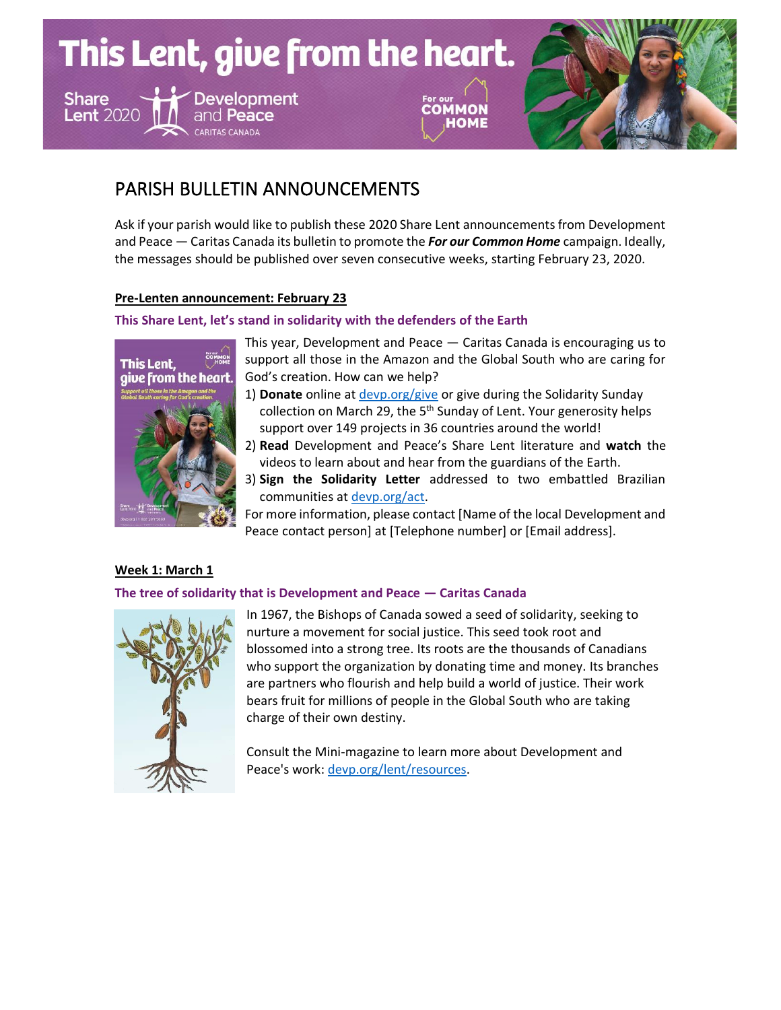This Lent, give from the heart. **Share Development** COMMON **Lent 2020** and Peace

# PARISH BULLETIN ANNOUNCEMENTS

Ask if your parish would like to publish these 2020 Share Lent announcements from Development and Peace — Caritas Canada its bulletin to promote the *For our Common Home* campaign. Ideally, the messages should be published over seven consecutive weeks, starting February 23, 2020.

# **Pre-Lenten announcement: February 23**

# **This Share Lent, let's stand in solidarity with the defenders of the Earth**



This year, Development and Peace — Caritas Canada is encouraging us to support all those in the Amazon and the Global South who are caring for God's creation. How can we help?

**HOME** 

- 1) **Donate** online a[t devp.org/give](http://devp.org/give) or give during the Solidarity Sunday collection on March 29, the 5<sup>th</sup> Sunday of Lent. Your generosity helps support over 149 projects in 36 countries around the world!
- 2) **Read** Development and Peace's Share Lent literature and **watch** the videos to learn about and hear from the guardians of the Earth.
- 3) **Sign the Solidarity Letter** addressed to two embattled Brazilian communities at [devp.org/act](http://www.devp.org/act).

For more information, please contact [Name of the local Development and Peace contact person] at [Telephone number] or [Email address].

# **Week 1: March 1**

# **The tree of solidarity that is Development and Peace — Caritas Canada**



In 1967, the Bishops of Canada sowed a seed of solidarity, seeking to nurture a movement for social justice. This seed took root and blossomed into a strong tree. Its roots are the thousands of Canadians who support the organization by donating time and money. Its branches are partners who flourish and help build a world of justice. Their work bears fruit for millions of people in the Global South who are taking charge of their own destiny.

Consult the Mini-magazine to learn more about Development and Peace's work: [devp.org/lent/resources.](http://www.devp.org/lent/resources)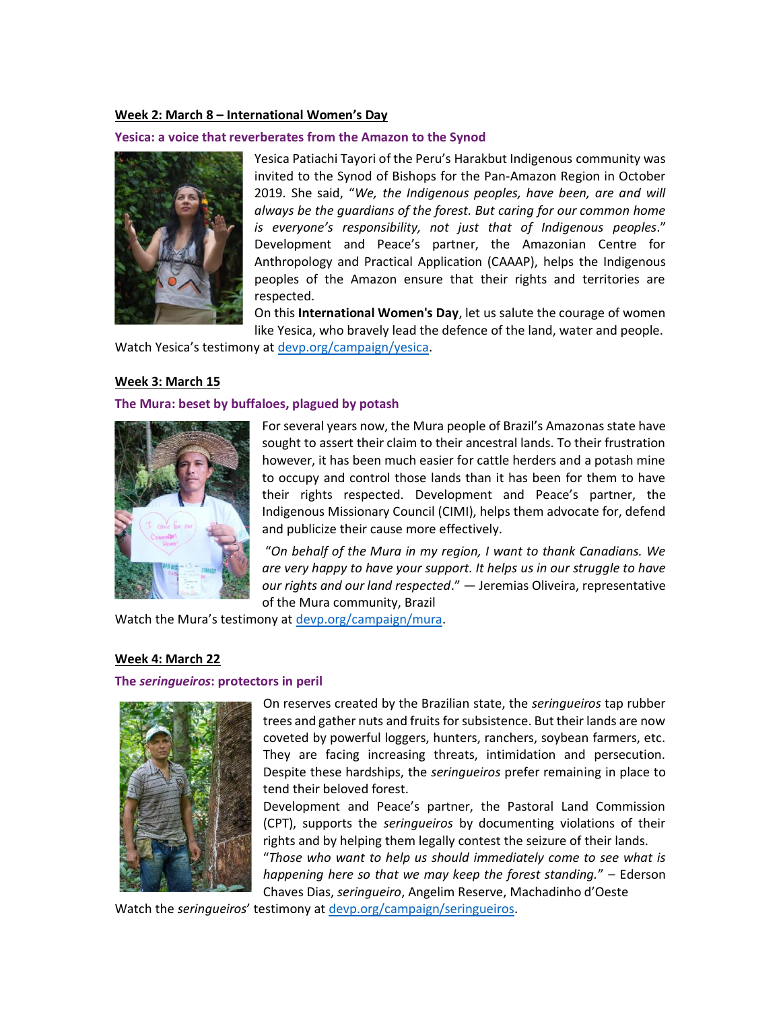## **Week 2: March 8 – International Women's Day**

#### **Yesica: a voice that reverberates from the Amazon to the Synod**



Yesica Patiachi Tayori of the Peru's Harakbut Indigenous community was invited to the Synod of Bishops for the Pan-Amazon Region in October 2019. She said, "*We, the Indigenous peoples, have been, are and will always be the guardians of the forest. But caring for our common home is everyone's responsibility, not just that of Indigenous peoples*." Development and Peace's partner, the Amazonian Centre for Anthropology and Practical Application (CAAAP), helps the Indigenous peoples of the Amazon ensure that their rights and territories are respected.

On this **International Women's Day**, let us salute the courage of women like Yesica, who bravely lead the defence of the land, water and people.

Watch Yesica's testimony at [devp.org/campaign/yesica.](http://devp.org/campaign/yesica)

#### **Week 3: March 15**

#### **The Mura: beset by buffaloes, plagued by potash**



For several years now, the Mura people of Brazil's Amazonas state have sought to assert their claim to their ancestral lands. To their frustration however, it has been much easier for cattle herders and a potash mine to occupy and control those lands than it has been for them to have their rights respected. Development and Peace's partner, the Indigenous Missionary Council (CIMI), helps them advocate for, defend and publicize their cause more effectively.

"*On behalf of the Mura in my region, I want to thank Canadians. We are very happy to have your support. It helps us in our struggle to have our rights and our land respected*." — Jeremias Oliveira, representative of the Mura community, Brazil

Watch the Mura's testimony at [devp.org/campaign/mura.](http://devp.org/campaign/mura)

#### **Week 4: March 22**

## **The** *seringueiros***: protectors in peril**



On reserves created by the Brazilian state, the *seringueiros* tap rubber trees and gather nuts and fruits for subsistence. But their lands are now coveted by powerful loggers, hunters, ranchers, soybean farmers, etc. They are facing increasing threats, intimidation and persecution. Despite these hardships, the *seringueiros* prefer remaining in place to tend their beloved forest.

Development and Peace's partner, the Pastoral Land Commission (CPT), supports the *seringueiros* by documenting violations of their rights and by helping them legally contest the seizure of their lands. "*Those who want to help us should immediately come to see what is happening here so that we may keep the forest standing.*" – Ederson Chaves Dias, *seringueiro*, Angelim Reserve, Machadinho d'Oeste

Watch the *seringueiros*' testimony a[t devp.org/campaign/seringueiros.](http://devp.org/campaign/seringueiros)